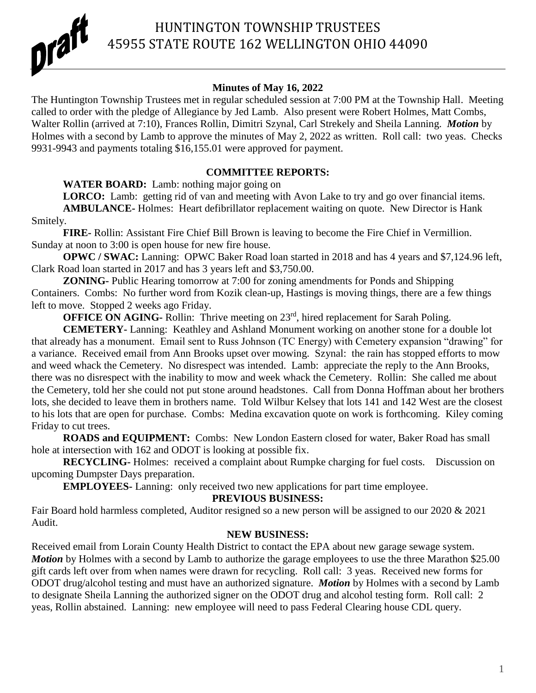

## HUNTINGTON TOWNSHIP TRUSTEES 45955 STATE ROUTE 162 WELLINGTON OHIO 44090

### **Minutes of May 16, 2022**

The Huntington Township Trustees met in regular scheduled session at 7:00 PM at the Township Hall. Meeting called to order with the pledge of Allegiance by Jed Lamb. Also present were Robert Holmes, Matt Combs, Walter Rollin (arrived at 7:10), Frances Rollin, Dimitri Szynal, Carl Strekely and Sheila Lanning. *Motion* by Holmes with a second by Lamb to approve the minutes of May 2, 2022 as written. Roll call: two yeas. Checks 9931-9943 and payments totaling \$16,155.01 were approved for payment.

#### **COMMITTEE REPORTS:**

**WATER BOARD:** Lamb: nothing major going on

LORCO: Lamb: getting rid of van and meeting with Avon Lake to try and go over financial items. **AMBULANCE-** Holmes: Heart defibrillator replacement waiting on quote. New Director is Hank Smitely.

**FIRE-** Rollin: Assistant Fire Chief Bill Brown is leaving to become the Fire Chief in Vermillion. Sunday at noon to 3:00 is open house for new fire house.

**OPWC / SWAC:** Lanning: OPWC Baker Road loan started in 2018 and has 4 years and \$7,124.96 left, Clark Road loan started in 2017 and has 3 years left and \$3,750.00.

**ZONING-** Public Hearing tomorrow at 7:00 for zoning amendments for Ponds and Shipping Containers. Combs: No further word from Kozik clean-up, Hastings is moving things, there are a few things left to move. Stopped 2 weeks ago Friday.

**OFFICE ON AGING-** Rollin: Thrive meeting on 23<sup>rd</sup>, hired replacement for Sarah Poling.

**CEMETERY-** Lanning: Keathley and Ashland Monument working on another stone for a double lot that already has a monument. Email sent to Russ Johnson (TC Energy) with Cemetery expansion "drawing" for a variance. Received email from Ann Brooks upset over mowing. Szynal: the rain has stopped efforts to mow and weed whack the Cemetery. No disrespect was intended. Lamb: appreciate the reply to the Ann Brooks, there was no disrespect with the inability to mow and week whack the Cemetery. Rollin: She called me about the Cemetery, told her she could not put stone around headstones. Call from Donna Hoffman about her brothers lots, she decided to leave them in brothers name. Told Wilbur Kelsey that lots 141 and 142 West are the closest to his lots that are open for purchase. Combs: Medina excavation quote on work is forthcoming. Kiley coming Friday to cut trees.

**ROADS and EQUIPMENT:** Combs: New London Eastern closed for water, Baker Road has small hole at intersection with 162 and ODOT is looking at possible fix.

**RECYCLING-** Holmes: received a complaint about Rumpke charging for fuel costs. Discussion on upcoming Dumpster Days preparation.

**EMPLOYEES-** Lanning: only received two new applications for part time employee.

#### **PREVIOUS BUSINESS:**

Fair Board hold harmless completed, Auditor resigned so a new person will be assigned to our 2020 & 2021 Audit.

### **NEW BUSINESS:**

Received email from Lorain County Health District to contact the EPA about new garage sewage system. *Motion* by Holmes with a second by Lamb to authorize the garage employees to use the three Marathon \$25.00 gift cards left over from when names were drawn for recycling. Roll call: 3 yeas. Received new forms for ODOT drug/alcohol testing and must have an authorized signature. *Motion* by Holmes with a second by Lamb to designate Sheila Lanning the authorized signer on the ODOT drug and alcohol testing form. Roll call: 2 yeas, Rollin abstained. Lanning: new employee will need to pass Federal Clearing house CDL query.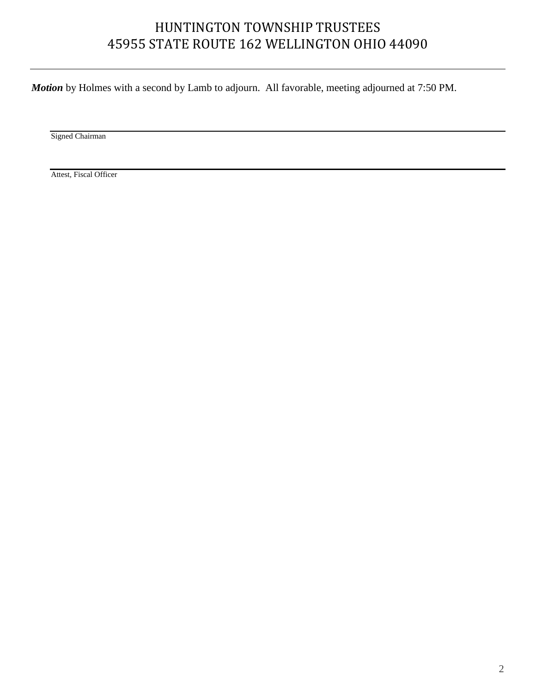# HUNTINGTON TOWNSHIP TRUSTEES 45955 STATE ROUTE 162 WELLINGTON OHIO 44090

*Motion* by Holmes with a second by Lamb to adjourn. All favorable, meeting adjourned at 7:50 PM.

Signed Chairman

Attest, Fiscal Officer